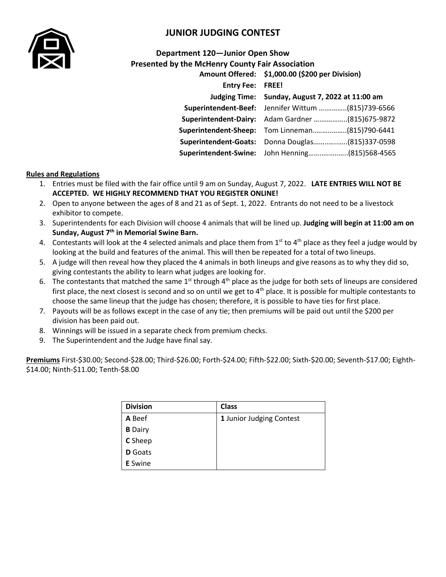

## **JUNIOR JUDGING CONTEST**

## **Department 120—Junior Open Show Presented by the McHenry County Fair Association**

|                              | Amount Offered: \$1,000.00 (\$200 per Division)    |  |  |
|------------------------------|----------------------------------------------------|--|--|
| <b>Entry Fee: FREE!</b>      |                                                    |  |  |
|                              | Judging Time: Sunday, August 7, 2022 at 11:00 am   |  |  |
|                              | Superintendent-Beef: Jennifer Wittum (815)739-6566 |  |  |
|                              | Superintendent-Dairy: Adam Gardner (815)675-9872   |  |  |
|                              | Superintendent-Sheep: Tom Linneman(815)790-6441    |  |  |
| <b>Superintendent-Goats:</b> | Donna Douglas(815)337-0598                         |  |  |
|                              | Superintendent-Swine: John Henning(815)568-4565    |  |  |

## **Rules and Regulations**

- 1. Entries must be filed with the fair office until 9 am on Sunday, August 7, 2022. **LATE ENTRIES WILL NOT BE ACCEPTED. WE HIGHLY RECOMMEND THAT YOU REGISTER ONLINE!**
- 2. Open to anyone between the ages of 8 and 21 as of Sept. 1, 2022. Entrants do not need to be a livestock exhibitor to compete.
- 3. Superintendents for each Division will choose 4 animals that will be lined up. **Judging will begin at 11:00 am on Sunday, August 7 th in Memorial Swine Barn.**
- 4. Contestants will look at the 4 selected animals and place them from  $1^{st}$  to  $4^{th}$  place as they feel a judge would by looking at the build and features of the animal. This will then be repeated for a total of two lineups.
- 5. A judge will then reveal how they placed the 4 animals in both lineups and give reasons as to why they did so, giving contestants the ability to learn what judges are looking for.
- 6. The contestants that matched the same  $1^{st}$  through  $4^{th}$  place as the judge for both sets of lineups are considered first place, the next closest is second and so on until we get to  $4<sup>th</sup>$  place. It is possible for multiple contestants to choose the same lineup that the judge has chosen; therefore, it is possible to have ties for first place.
- 7. Payouts will be as follows except in the case of any tie; then premiums will be paid out until the \$200 per division has been paid out.
- 8. Winnings will be issued in a separate check from premium checks.
- 9. The Superintendent and the Judge have final say.

**Premiums** First-\$30.00; Second-\$28.00; Third-\$26.00; Forth-\$24.00; Fifth-\$22.00; Sixth-\$20.00; Seventh-\$17.00; Eighth- \$14.00; Ninth-\$11.00; Tenth-\$8.00

| <b>Division</b> | <b>Class</b>             |
|-----------------|--------------------------|
| A Beef          | 1 Junior Judging Contest |
| <b>B</b> Dairy  |                          |
| <b>C</b> Sheep  |                          |
| <b>D</b> Goats  |                          |
| <b>E</b> Swine  |                          |